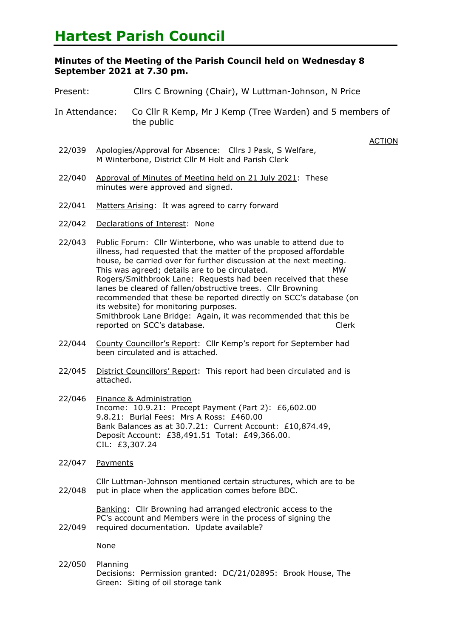## **Hartest Parish Council**

## **Minutes of the Meeting of the Parish Council held on Wednesday 8 September 2021 at 7.30 pm.**

- Present: Cllrs C Browning (Chair), W Luttman-Johnson, N Price
- In Attendance: Co Cllr R Kemp, Mr J Kemp (Tree Warden) and 5 members of the public

**ACTION** 

- 22/039 Apologies/Approval for Absence: Cllrs J Pask, S Welfare, M Winterbone, District Cllr M Holt and Parish Clerk
- 22/040 Approval of Minutes of Meeting held on 21 July 2021: These minutes were approved and signed.
- 22/041 Matters Arising: It was agreed to carry forward
- 22/042 Declarations of Interest: None
- 22/043 Public Forum: Cllr Winterbone, who was unable to attend due to illness, had requested that the matter of the proposed affordable house, be carried over for further discussion at the next meeting. This was agreed; details are to be circulated. MW Rogers/Smithbrook Lane: Requests had been received that these lanes be cleared of fallen/obstructive trees. Cllr Browning recommended that these be reported directly on SCC's database (on its website) for monitoring purposes. Smithbrook Lane Bridge: Again, it was recommended that this be reported on SCC's database. The contract of the Clerk
- 22/044 County Councillor's Report: Cllr Kemp's report for September had been circulated and is attached.
- 22/045 District Councillors' Report: This report had been circulated and is attached.
- 22/046 Finance & Administration Income: 10.9.21: Precept Payment (Part 2): £6,602.00 9.8.21: Burial Fees: Mrs A Ross: £460.00 Bank Balances as at 30.7.21: Current Account: £10,874.49, Deposit Account: £38,491.51 Total: £49,366.00. CIL: £3,307.24
- 22/047 Payments

22/048 Cllr Luttman-Johnson mentioned certain structures, which are to be put in place when the application comes before BDC.

> Banking: Cllr Browning had arranged electronic access to the PC's account and Members were in the process of signing the

22/049 required documentation. Update available?

None

22/050 Planning Decisions: Permission granted: DC/21/02895: Brook House, The Green: Siting of oil storage tank